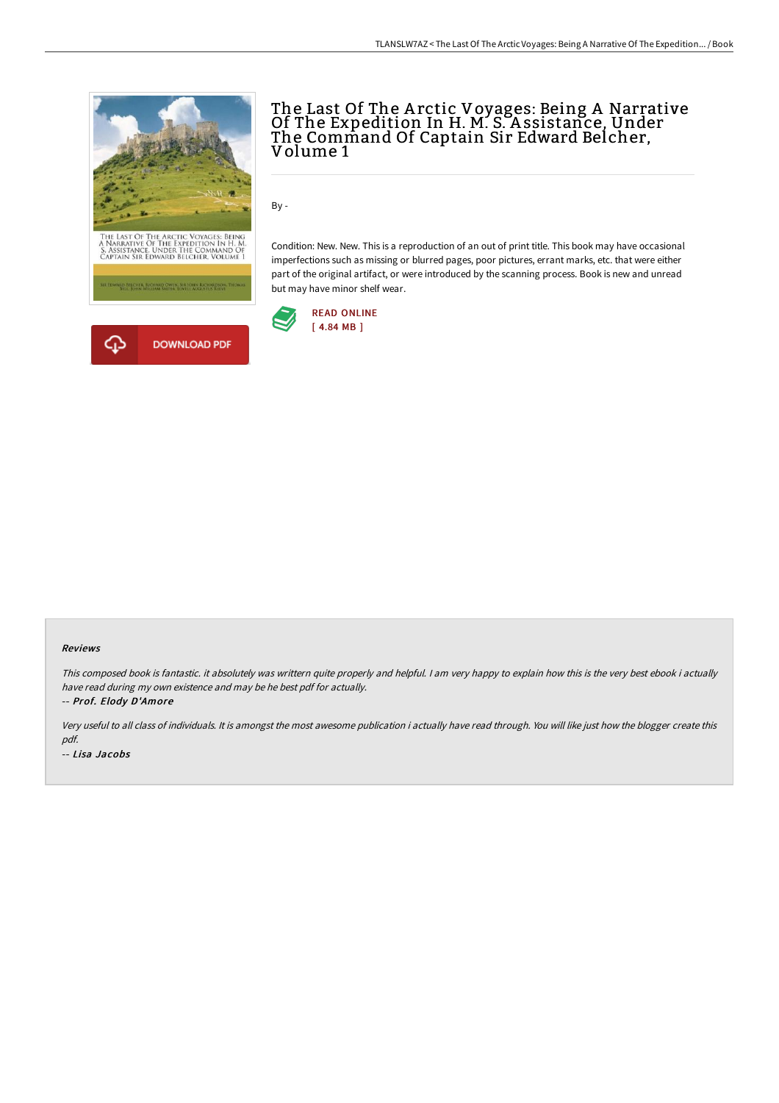

# The Last Of The A rctic Voyages: Being A Narrative Of The Expedition In H. M. S. A ssistance, Under The Command Of Captain Sir Edward Belcher, Volume 1

By -

Condition: New. New. This is a reproduction of an out of print title. This book may have occasional imperfections such as missing or blurred pages, poor pictures, errant marks, etc. that were either part of the original artifact, or were introduced by the scanning process. Book is new and unread but may have minor shelf wear.



#### Reviews

This composed book is fantastic. it absolutely was writtern quite properly and helpful. I am very happy to explain how this is the very best ebook i actually have read during my own existence and may be he best pdf for actually. -- Prof. Elody D'Amore

Very useful to all class of individuals. It is amongst the most awesome publication i actually have read through. You will like just how the blogger create this pdf. -- Lisa Jacobs